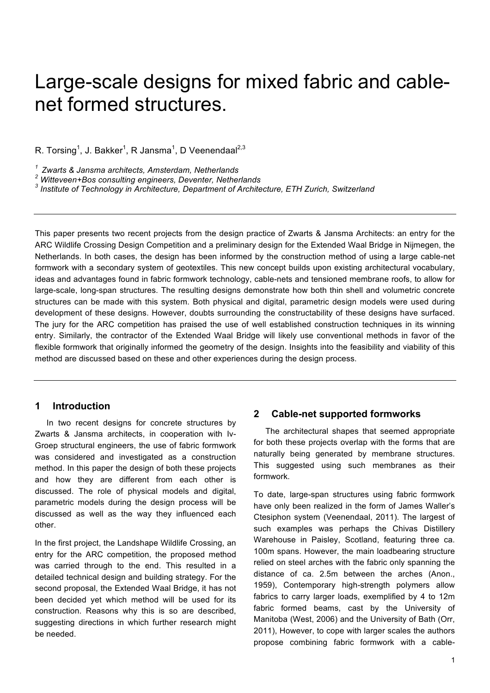# Large-scale designs for mixed fabric and cablenet formed structures.

R. Torsing $^1$ , J. Bakker $^1$ , R Jansma $^1$ , D Veenendaal $^{2,3}$ 

*1 Zwarts & Jansma architects, Amsterdam, Netherlands*

*<sup>2</sup> Witteveen+Bos consulting engineers, Deventer, Netherlands*

*<sup>3</sup> Institute of Technology in Architecture, Department of Architecture, ETH Zurich, Switzerland*

This paper presents two recent projects from the design practice of Zwarts & Jansma Architects: an entry for the ARC Wildlife Crossing Design Competition and a preliminary design for the Extended Waal Bridge in Nijmegen, the Netherlands. In both cases, the design has been informed by the construction method of using a large cable-net formwork with a secondary system of geotextiles. This new concept builds upon existing architectural vocabulary, ideas and advantages found in fabric formwork technology, cable-nets and tensioned membrane roofs, to allow for large-scale, long-span structures. The resulting designs demonstrate how both thin shell and volumetric concrete structures can be made with this system. Both physical and digital, parametric design models were used during development of these designs. However, doubts surrounding the constructability of these designs have surfaced. The jury for the ARC competition has praised the use of well established construction techniques in its winning entry. Similarly, the contractor of the Extended Waal Bridge will likely use conventional methods in favor of the flexible formwork that originally informed the geometry of the design. Insights into the feasibility and viability of this method are discussed based on these and other experiences during the design process.

## **1 Introduction**

In two recent designs for concrete structures by Zwarts & Jansma architects, in cooperation with Iv-Groep structural engineers, the use of fabric formwork was considered and investigated as a construction method. In this paper the design of both these projects and how they are different from each other is discussed. The role of physical models and digital, parametric models during the design process will be discussed as well as the way they influenced each other.

In the first project, the Landshape Wildlife Crossing, an entry for the ARC competition, the proposed method was carried through to the end. This resulted in a detailed technical design and building strategy. For the second proposal, the Extended Waal Bridge, it has not been decided yet which method will be used for its construction. Reasons why this is so are described, suggesting directions in which further research might be needed.

## **2 Cable-net supported formworks**

The architectural shapes that seemed appropriate for both these projects overlap with the forms that are naturally being generated by membrane structures. This suggested using such membranes as their formwork.

To date, large-span structures using fabric formwork have only been realized in the form of James Waller's Ctesiphon system (Veenendaal, 2011). The largest of such examples was perhaps the Chivas Distillery Warehouse in Paisley, Scotland, featuring three ca. 100m spans. However, the main loadbearing structure relied on steel arches with the fabric only spanning the distance of ca. 2.5m between the arches (Anon., 1959), Contemporary high-strength polymers allow fabrics to carry larger loads, exemplified by 4 to 12m fabric formed beams, cast by the University of Manitoba (West, 2006) and the University of Bath (Orr, 2011), However, to cope with larger scales the authors propose combining fabric formwork with a cable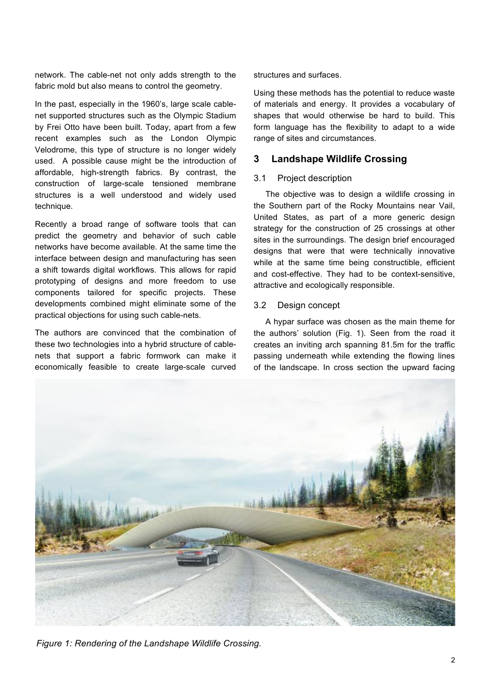network. The cable-net not only adds strength to the fabric mold but also means to control the geometry.

In the past, especially in the 1960's, large scale cablenet supported structures such as the Olympic Stadium by Frei Otto have been built. Today, apart from a few recent examples such as the London Olympic Velodrome, this type of structure is no longer widely used. A possible cause might be the introduction of affordable, high-strength fabrics. By contrast, the construction of large-scale tensioned membrane structures is a well understood and widely used technique.

Recently a broad range of software tools that can predict the geometry and behavior of such cable networks have become available. At the same time the interface between design and manufacturing has seen a shift towards digital workflows. This allows for rapid prototyping of designs and more freedom to use components tailored for specific projects. These developments combined might eliminate some of the practical objections for using such cable-nets.

The authors are convinced that the combination of these two technologies into a hybrid structure of cablenets that support a fabric formwork can make it economically feasible to create large-scale curved structures and surfaces.

Using these methods has the potential to reduce waste of materials and energy. It provides a vocabulary of shapes that would otherwise be hard to build. This form language has the flexibility to adapt to a wide range of sites and circumstances.

# **3 Landshape Wildlife Crossing**

## 3.1 Project description

The objective was to design a wildlife crossing in the Southern part of the Rocky Mountains near Vail, United States, as part of a more generic design strategy for the construction of 25 crossings at other sites in the surroundings. The design brief encouraged designs that were that were technically innovative while at the same time being constructible, efficient and cost-effective. They had to be context-sensitive, attractive and ecologically responsible.

# 3.2 Design concept

A hypar surface was chosen as the main theme for the authors' solution (Fig. 1). Seen from the road it creates an inviting arch spanning 81.5m for the traffic passing underneath while extending the flowing lines of the landscape. In cross section the upward facing



*Figure 1: Rendering of the Landshape Wildlife Crossing.*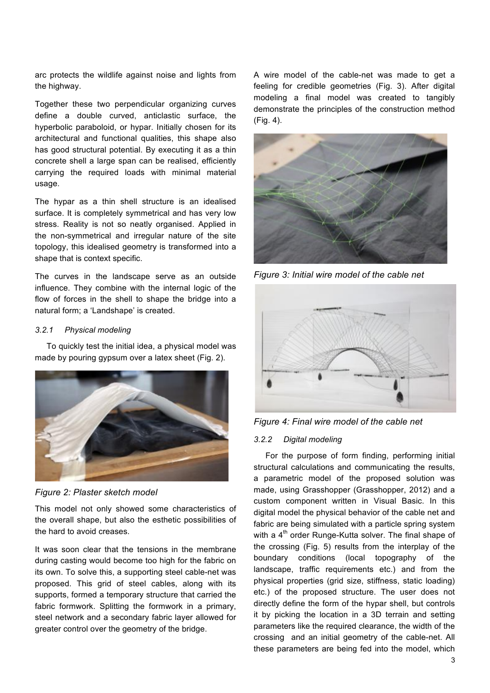arc protects the wildlife against noise and lights from the highway.

Together these two perpendicular organizing curves define a double curved, anticlastic surface, the hyperbolic paraboloid, or hypar. Initially chosen for its architectural and functional qualities, this shape also has good structural potential. By executing it as a thin concrete shell a large span can be realised, efficiently carrying the required loads with minimal material usage.

The hypar as a thin shell structure is an idealised surface. It is completely symmetrical and has very low stress. Reality is not so neatly organised. Applied in the non-symmetrical and irregular nature of the site topology, this idealised geometry is transformed into a shape that is context specific.

The curves in the landscape serve as an outside influence. They combine with the internal logic of the flow of forces in the shell to shape the bridge into a natural form; a 'Landshape' is created.

## *3.2.1 Physical modeling*

To quickly test the initial idea, a physical model was made by pouring gypsum over a latex sheet (Fig. 2).



*Figure 2: Plaster sketch model*

This model not only showed some characteristics of the overall shape, but also the esthetic possibilities of the hard to avoid creases.

It was soon clear that the tensions in the membrane during casting would become too high for the fabric on its own. To solve this, a supporting steel cable-net was proposed. This grid of steel cables, along with its supports, formed a temporary structure that carried the fabric formwork. Splitting the formwork in a primary, steel network and a secondary fabric layer allowed for greater control over the geometry of the bridge.

A wire model of the cable-net was made to get a feeling for credible geometries (Fig. 3). After digital modeling a final model was created to tangibly demonstrate the principles of the construction method (Fig. 4).



*Figure 3: Initial wire model of the cable net*



*Figure 4: Final wire model of the cable net*

## *3.2.2 Digital modeling*

For the purpose of form finding, performing initial structural calculations and communicating the results, a parametric model of the proposed solution was made, using Grasshopper (Grasshopper, 2012) and a custom component written in Visual Basic. In this digital model the physical behavior of the cable net and fabric are being simulated with a particle spring system with a  $4<sup>th</sup>$  order Runge-Kutta solver. The final shape of the crossing (Fig. 5) results from the interplay of the boundary conditions (local topography of the landscape, traffic requirements etc.) and from the physical properties (grid size, stiffness, static loading) etc.) of the proposed structure. The user does not directly define the form of the hypar shell, but controls it by picking the location in a 3D terrain and setting parameters like the required clearance, the width of the crossing and an initial geometry of the cable-net. All these parameters are being fed into the model, which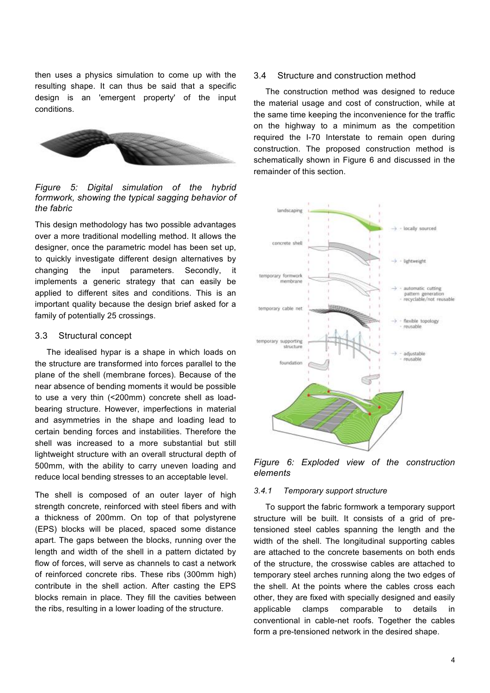then uses a physics simulation to come up with the resulting shape. It can thus be said that a specific design is an 'emergent property' of the input conditions.



*Figure 5: Digital simulation of the hybrid formwork, showing the typical sagging behavior of the fabric*

This design methodology has two possible advantages over a more traditional modelling method. It allows the designer, once the parametric model has been set up, to quickly investigate different design alternatives by changing the input parameters. Secondly, it implements a generic strategy that can easily be applied to different sites and conditions. This is an important quality because the design brief asked for a family of potentially 25 crossings.

#### 3.3 Structural concept

The idealised hypar is a shape in which loads on the structure are transformed into forces parallel to the plane of the shell (membrane forces). Because of the near absence of bending moments it would be possible to use a very thin (<200mm) concrete shell as loadbearing structure. However, imperfections in material and asymmetries in the shape and loading lead to certain bending forces and instabilities. Therefore the shell was increased to a more substantial but still lightweight structure with an overall structural depth of 500mm, with the ability to carry uneven loading and reduce local bending stresses to an acceptable level.

The shell is composed of an outer layer of high strength concrete, reinforced with steel fibers and with a thickness of 200mm. On top of that polystyrene (EPS) blocks will be placed, spaced some distance apart. The gaps between the blocks, running over the length and width of the shell in a pattern dictated by flow of forces, will serve as channels to cast a network of reinforced concrete ribs. These ribs (300mm high) contribute in the shell action. After casting the EPS blocks remain in place. They fill the cavities between the ribs, resulting in a lower loading of the structure.

## 3.4 Structure and construction method

The construction method was designed to reduce the material usage and cost of construction, while at the same time keeping the inconvenience for the traffic on the highway to a minimum as the competition required the I-70 Interstate to remain open during construction. The proposed construction method is schematically shown in Figure 6 and discussed in the remainder of this section.



*Figure 6: Exploded view of the construction elements*

#### *3.4.1 Temporary support structure*

To support the fabric formwork a temporary support structure will be built. It consists of a grid of pretensioned steel cables spanning the length and the width of the shell. The longitudinal supporting cables are attached to the concrete basements on both ends of the structure, the crosswise cables are attached to temporary steel arches running along the two edges of the shell. At the points where the cables cross each other, they are fixed with specially designed and easily applicable clamps comparable to details in conventional in cable-net roofs. Together the cables form a pre-tensioned network in the desired shape.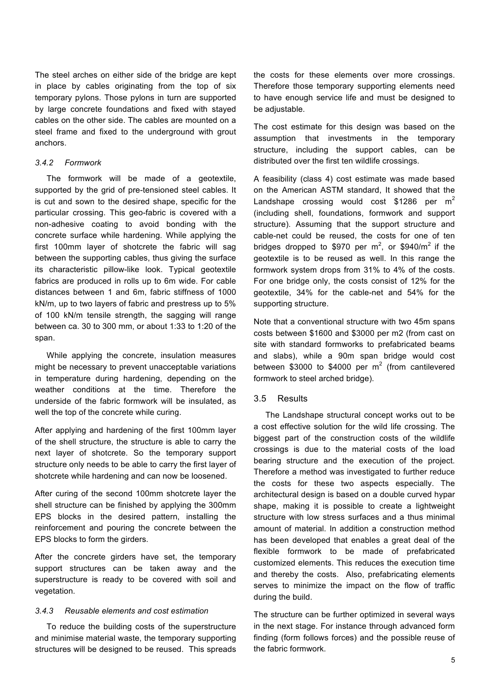The steel arches on either side of the bridge are kept in place by cables originating from the top of six temporary pylons. Those pylons in turn are supported by large concrete foundations and fixed with stayed cables on the other side. The cables are mounted on a steel frame and fixed to the underground with grout anchors.

## *3.4.2 Formwork*

The formwork will be made of a geotextile, supported by the grid of pre-tensioned steel cables. It is cut and sown to the desired shape, specific for the particular crossing. This geo-fabric is covered with a non-adhesive coating to avoid bonding with the concrete surface while hardening. While applying the first 100mm layer of shotcrete the fabric will sag between the supporting cables, thus giving the surface its characteristic pillow-like look. Typical geotextile fabrics are produced in rolls up to 6m wide. For cable distances between 1 and 6m, fabric stiffness of 1000 kN/m, up to two layers of fabric and prestress up to 5% of 100 kN/m tensile strength, the sagging will range between ca. 30 to 300 mm, or about 1:33 to 1:20 of the span.

While applying the concrete, insulation measures might be necessary to prevent unacceptable variations in temperature during hardening, depending on the weather conditions at the time. Therefore the underside of the fabric formwork will be insulated, as well the top of the concrete while curing.

After applying and hardening of the first 100mm layer of the shell structure, the structure is able to carry the next layer of shotcrete. So the temporary support structure only needs to be able to carry the first layer of shotcrete while hardening and can now be loosened.

After curing of the second 100mm shotcrete layer the shell structure can be finished by applying the 300mm EPS blocks in the desired pattern, installing the reinforcement and pouring the concrete between the EPS blocks to form the girders.

After the concrete girders have set, the temporary support structures can be taken away and the superstructure is ready to be covered with soil and vegetation.

## *3.4.3 Reusable elements and cost estimation*

To reduce the building costs of the superstructure and minimise material waste, the temporary supporting structures will be designed to be reused. This spreads the costs for these elements over more crossings. Therefore those temporary supporting elements need to have enough service life and must be designed to be adjustable.

The cost estimate for this design was based on the assumption that investments in the temporary structure, including the support cables, can be distributed over the first ten wildlife crossings.

A feasibility (class 4) cost estimate was made based on the American ASTM standard, It showed that the Landshape crossing would cost \$1286 per  $m<sup>2</sup>$ (including shell, foundations, formwork and support structure). Assuming that the support structure and cable-net could be reused, the costs for one of ten bridges dropped to \$970 per  $m^2$ , or \$940/ $m^2$  if the geotextile is to be reused as well. In this range the formwork system drops from 31% to 4% of the costs. For one bridge only, the costs consist of 12% for the geotextile, 34% for the cable-net and 54% for the supporting structure.

Note that a conventional structure with two 45m spans costs between \$1600 and \$3000 per m2 (from cast on site with standard formworks to prefabricated beams and slabs), while a 90m span bridge would cost between \$3000 to \$4000 per  $m^2$  (from cantilevered formwork to steel arched bridge).

#### 3.5 Results

The Landshape structural concept works out to be a cost effective solution for the wild life crossing. The biggest part of the construction costs of the wildlife crossings is due to the material costs of the load bearing structure and the execution of the project. Therefore a method was investigated to further reduce the costs for these two aspects especially. The architectural design is based on a double curved hypar shape, making it is possible to create a lightweight structure with low stress surfaces and a thus minimal amount of material. In addition a construction method has been developed that enables a great deal of the flexible formwork to be made of prefabricated customized elements. This reduces the execution time and thereby the costs. Also, prefabricating elements serves to minimize the impact on the flow of traffic during the build.

The structure can be further optimized in several ways in the next stage. For instance through advanced form finding (form follows forces) and the possible reuse of the fabric formwork.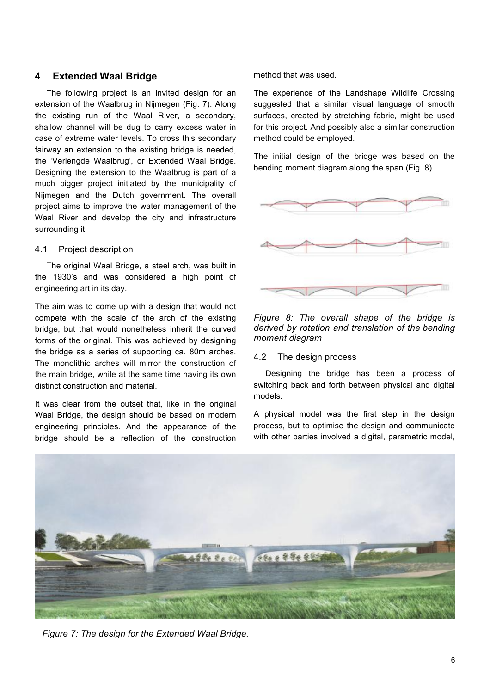# **4 Extended Waal Bridge**

The following project is an invited design for an extension of the Waalbrug in Nijmegen (Fig. 7). Along the existing run of the Waal River, a secondary, shallow channel will be dug to carry excess water in case of extreme water levels. To cross this secondary fairway an extension to the existing bridge is needed, the 'Verlengde Waalbrug', or Extended Waal Bridge. Designing the extension to the Waalbrug is part of a much bigger project initiated by the municipality of Nijmegen and the Dutch government. The overall project aims to improve the water management of the Waal River and develop the city and infrastructure surrounding it.

## 4.1 Project description

The original Waal Bridge, a steel arch, was built in the 1930's and was considered a high point of engineering art in its day.

The aim was to come up with a design that would not compete with the scale of the arch of the existing bridge, but that would nonetheless inherit the curved forms of the original. This was achieved by designing the bridge as a series of supporting ca. 80m arches. The monolithic arches will mirror the construction of the main bridge, while at the same time having its own distinct construction and material.

It was clear from the outset that, like in the original Waal Bridge, the design should be based on modern engineering principles. And the appearance of the bridge should be a reflection of the construction method that was used.

The experience of the Landshape Wildlife Crossing suggested that a similar visual language of smooth surfaces, created by stretching fabric, might be used for this project. And possibly also a similar construction method could be employed.

The initial design of the bridge was based on the bending moment diagram along the span (Fig. 8).



*Figure 8: The overall shape of the bridge is derived by rotation and translation of the bending moment diagram*

## 4.2 The design process

Designing the bridge has been a process of switching back and forth between physical and digital models.

A physical model was the first step in the design process, but to optimise the design and communicate with other parties involved a digital, parametric model,



*Figure 7: The design for the Extended Waal Bridge.*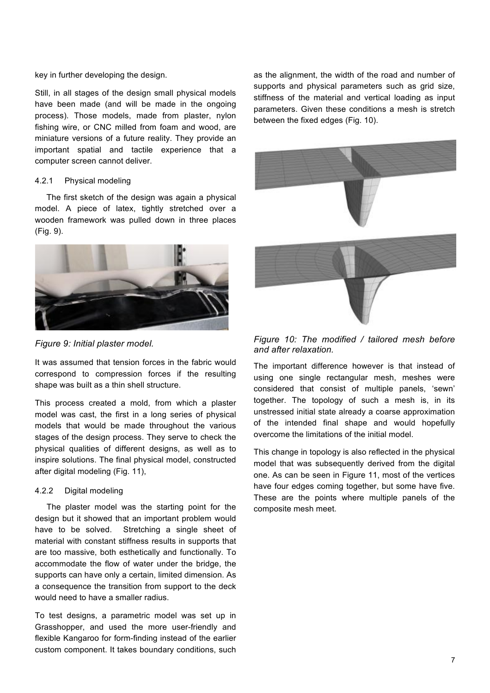#### key in further developing the design.

Still, in all stages of the design small physical models have been made (and will be made in the ongoing process). Those models, made from plaster, nylon fishing wire, or CNC milled from foam and wood, are miniature versions of a future reality. They provide an important spatial and tactile experience that a computer screen cannot deliver.

#### 4.2.1 Physical modeling

The first sketch of the design was again a physical model. A piece of latex, tightly stretched over a wooden framework was pulled down in three places (Fig. 9).



*Figure 9: Initial plaster model.*

It was assumed that tension forces in the fabric would correspond to compression forces if the resulting shape was built as a thin shell structure.

This process created a mold, from which a plaster model was cast, the first in a long series of physical models that would be made throughout the various stages of the design process. They serve to check the physical qualities of different designs, as well as to inspire solutions. The final physical model, constructed after digital modeling (Fig. 11),

#### 4.2.2 Digital modeling

The plaster model was the starting point for the design but it showed that an important problem would have to be solved. Stretching a single sheet of material with constant stiffness results in supports that are too massive, both esthetically and functionally. To accommodate the flow of water under the bridge, the supports can have only a certain, limited dimension. As a consequence the transition from support to the deck would need to have a smaller radius.

To test designs, a parametric model was set up in Grasshopper, and used the more user-friendly and flexible Kangaroo for form-finding instead of the earlier custom component. It takes boundary conditions, such as the alignment, the width of the road and number of supports and physical parameters such as grid size, stiffness of the material and vertical loading as input parameters. Given these conditions a mesh is stretch between the fixed edges (Fig. 10).



*Figure 10: The modified / tailored mesh before and after relaxation.*

The important difference however is that instead of using one single rectangular mesh, meshes were considered that consist of multiple panels, 'sewn' together. The topology of such a mesh is, in its unstressed initial state already a coarse approximation of the intended final shape and would hopefully overcome the limitations of the initial model.

This change in topology is also reflected in the physical model that was subsequently derived from the digital one. As can be seen in Figure 11, most of the vertices have four edges coming together, but some have five. These are the points where multiple panels of the composite mesh meet.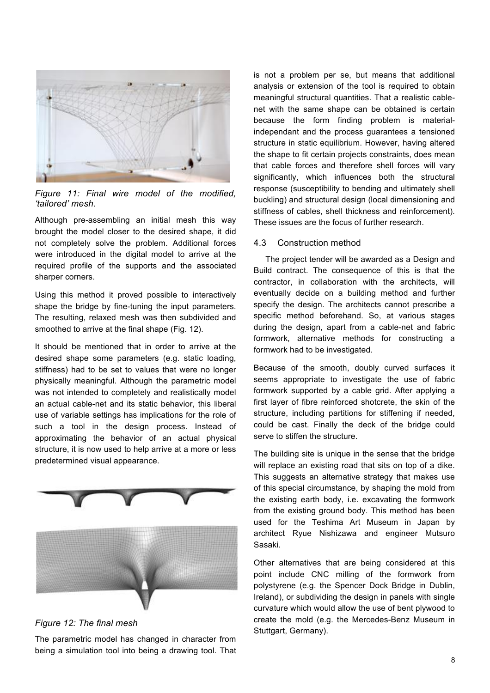

*Figure 11: Final wire model of the modified, 'tailored' mesh.*

Although pre-assembling an initial mesh this way brought the model closer to the desired shape, it did not completely solve the problem. Additional forces were introduced in the digital model to arrive at the required profile of the supports and the associated sharper corners.

Using this method it proved possible to interactively shape the bridge by fine-tuning the input parameters. The resulting, relaxed mesh was then subdivided and smoothed to arrive at the final shape (Fig. 12).

It should be mentioned that in order to arrive at the desired shape some parameters (e.g. static loading, stiffness) had to be set to values that were no longer physically meaningful. Although the parametric model was not intended to completely and realistically model an actual cable-net and its static behavior, this liberal use of variable settings has implications for the role of such a tool in the design process. Instead of approximating the behavior of an actual physical structure, it is now used to help arrive at a more or less predetermined visual appearance.



## *Figure 12: The final mesh*

The parametric model has changed in character from being a simulation tool into being a drawing tool. That is not a problem per se, but means that additional analysis or extension of the tool is required to obtain meaningful structural quantities. That a realistic cablenet with the same shape can be obtained is certain because the form finding problem is materialindependant and the process guarantees a tensioned structure in static equilibrium. However, having altered the shape to fit certain projects constraints, does mean that cable forces and therefore shell forces will vary significantly, which influences both the structural response (susceptibility to bending and ultimately shell buckling) and structural design (local dimensioning and stiffness of cables, shell thickness and reinforcement). These issues are the focus of further research.

## 4.3 Construction method

The project tender will be awarded as a Design and Build contract. The consequence of this is that the contractor, in collaboration with the architects, will eventually decide on a building method and further specify the design. The architects cannot prescribe a specific method beforehand. So, at various stages during the design, apart from a cable-net and fabric formwork, alternative methods for constructing a formwork had to be investigated.

Because of the smooth, doubly curved surfaces it seems appropriate to investigate the use of fabric formwork supported by a cable grid. After applying a first layer of fibre reinforced shotcrete, the skin of the structure, including partitions for stiffening if needed, could be cast. Finally the deck of the bridge could serve to stiffen the structure.

The building site is unique in the sense that the bridge will replace an existing road that sits on top of a dike. This suggests an alternative strategy that makes use of this special circumstance, by shaping the mold from the existing earth body, i.e. excavating the formwork from the existing ground body. This method has been used for the Teshima Art Museum in Japan by architect Ryue Nishizawa and engineer Mutsuro Sasaki.

Other alternatives that are being considered at this point include CNC milling of the formwork from polystyrene (e.g. the Spencer Dock Bridge in Dublin, Ireland), or subdividing the design in panels with single curvature which would allow the use of bent plywood to create the mold (e.g. the Mercedes-Benz Museum in Stuttgart, Germany).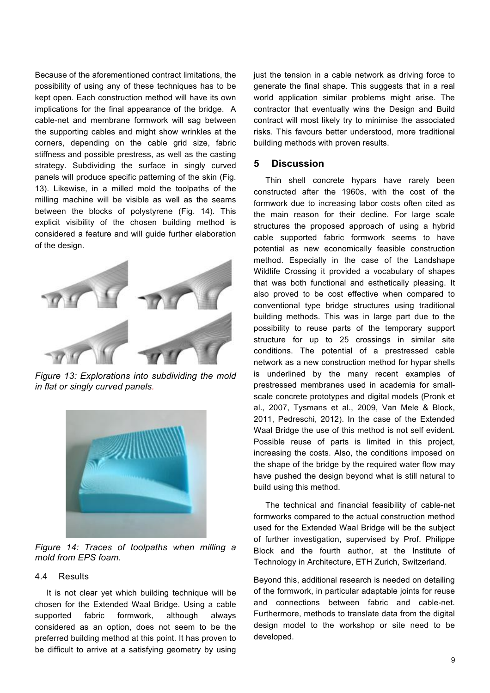Because of the aforementioned contract limitations, the possibility of using any of these techniques has to be kept open. Each construction method will have its own implications for the final appearance of the bridge. A cable-net and membrane formwork will sag between the supporting cables and might show wrinkles at the corners, depending on the cable grid size, fabric stiffness and possible prestress, as well as the casting strategy. Subdividing the surface in singly curved panels will produce specific patterning of the skin (Fig. 13). Likewise, in a milled mold the toolpaths of the milling machine will be visible as well as the seams between the blocks of polystyrene (Fig. 14). This explicit visibility of the chosen building method is considered a feature and will guide further elaboration of the design.



*Figure 13: Explorations into subdividing the mold in flat or singly curved panels.*



*Figure 14: Traces of toolpaths when milling a mold from EPS foam.*

## 4.4 Results

It is not clear yet which building technique will be chosen for the Extended Waal Bridge. Using a cable supported fabric formwork, although always considered as an option, does not seem to be the preferred building method at this point. It has proven to be difficult to arrive at a satisfying geometry by using

just the tension in a cable network as driving force to generate the final shape. This suggests that in a real world application similar problems might arise. The contractor that eventually wins the Design and Build contract will most likely try to minimise the associated risks. This favours better understood, more traditional building methods with proven results.

## **5 Discussion**

Thin shell concrete hypars have rarely been constructed after the 1960s, with the cost of the formwork due to increasing labor costs often cited as the main reason for their decline. For large scale structures the proposed approach of using a hybrid cable supported fabric formwork seems to have potential as new economically feasible construction method. Especially in the case of the Landshape Wildlife Crossing it provided a vocabulary of shapes that was both functional and esthetically pleasing. It also proved to be cost effective when compared to conventional type bridge structures using traditional building methods. This was in large part due to the possibility to reuse parts of the temporary support structure for up to 25 crossings in similar site conditions. The potential of a prestressed cable network as a new construction method for hypar shells is underlined by the many recent examples of prestressed membranes used in academia for smallscale concrete prototypes and digital models (Pronk et al., 2007, Tysmans et al., 2009, Van Mele & Block, 2011, Pedreschi, 2012). In the case of the Extended Waal Bridge the use of this method is not self evident. Possible reuse of parts is limited in this project, increasing the costs. Also, the conditions imposed on the shape of the bridge by the required water flow may have pushed the design beyond what is still natural to build using this method.

The technical and financial feasibility of cable-net formworks compared to the actual construction method used for the Extended Waal Bridge will be the subject of further investigation, supervised by Prof. Philippe Block and the fourth author, at the Institute of Technology in Architecture, ETH Zurich, Switzerland.

Beyond this, additional research is needed on detailing of the formwork, in particular adaptable joints for reuse and connections between fabric and cable-net. Furthermore, methods to translate data from the digital design model to the workshop or site need to be developed.